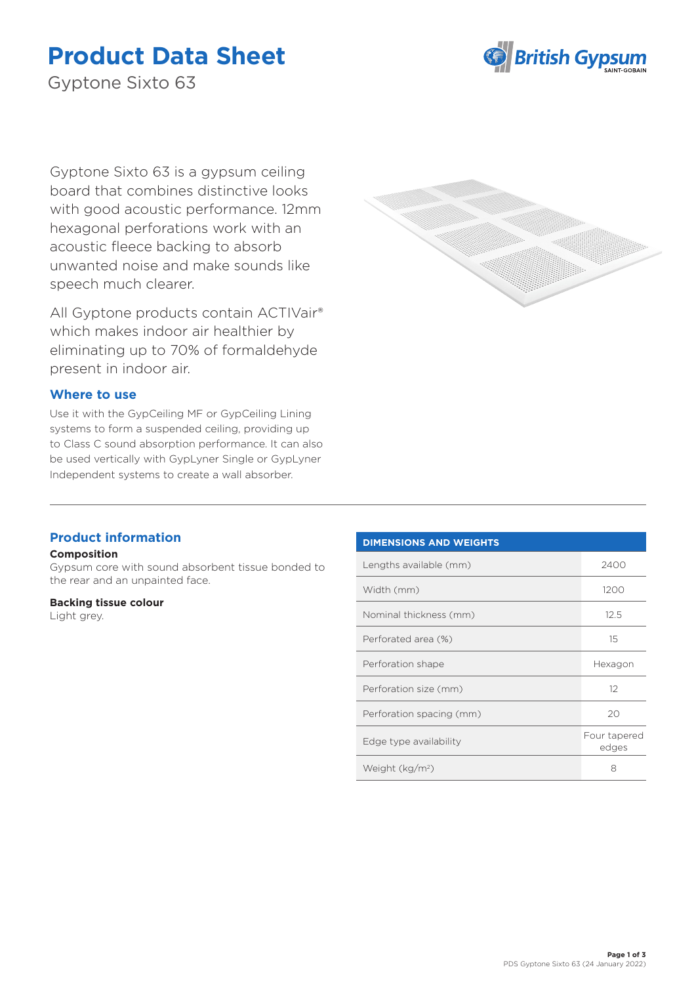# **Product Data Sheet**



Gyptone Sixto 63

Gyptone Sixto 63 is a gypsum ceiling board that combines distinctive looks with good acoustic performance. 12mm hexagonal perforations work with an acoustic fleece backing to absorb unwanted noise and make sounds like speech much clearer.

All Gyptone products contain ACTIVair® which makes indoor air healthier by eliminating up to 70% of formaldehyde present in indoor air.

## **Where to use**

Use it with the GypCeiling MF or GypCeiling Lining systems to form a suspended ceiling, providing up to Class C sound absorption performance. It can also be used vertically with GypLyner Single or GypLyner Independent systems to create a wall absorber.



## **Product information**

#### **Composition**

Gypsum core with sound absorbent tissue bonded to the rear and an unpainted face.

#### **Backing tissue colour**

Light grey.

# **DIMENSIONS AND WEIGHTS**

| Lengths available (mm)   | 2400                  |
|--------------------------|-----------------------|
| Width (mm)               | 1200                  |
| Nominal thickness (mm)   | 12.5                  |
| Perforated area (%)      | 15                    |
| Perforation shape        | Hexagon               |
| Perforation size (mm)    | 12                    |
| Perforation spacing (mm) | 20                    |
| Edge type availability   | Four tapered<br>edges |
| Weight $(kg/m2)$         | 8                     |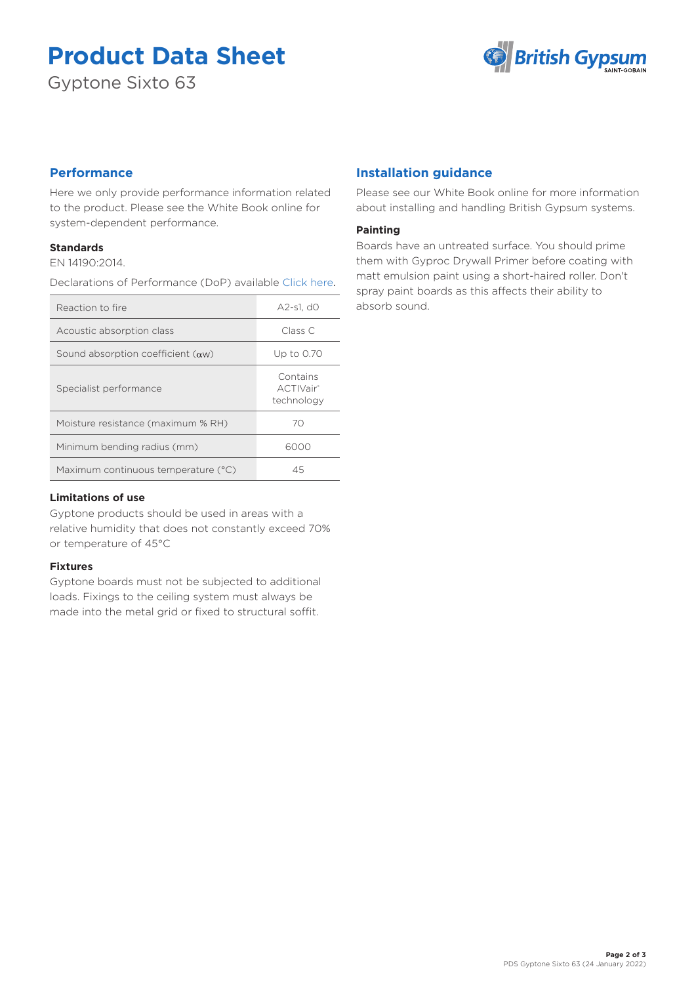# **Product Data Sheet**

Gyptone Sixto 63



# **Performance**

Here we only provide performance information related to the product. Please see the White Book online for system-dependent performance.

## **Standards**

EN 14190:2014.

Declarations of Performance (DoP) available [Click here](https://www.british-gypsum.com/DoP).

| Reaction to fire                          | A2-s1. d0                                       |
|-------------------------------------------|-------------------------------------------------|
| Acoustic absorption class                 | Class C                                         |
| Sound absorption coefficient $(\alpha w)$ | Up to 0.70                                      |
| Specialist performance                    | Contains<br>ACTIVair <sup>®</sup><br>technology |
| Moisture resistance (maximum % RH)        | 70                                              |
| Minimum bending radius (mm)               | 6000                                            |
| Maximum continuous temperature (°C)       | 45                                              |

### **Limitations of use**

Gyptone products should be used in areas with a relative humidity that does not constantly exceed 70% or temperature of 45°C

#### **Fixtures**

Gyptone boards must not be subjected to additional loads. Fixings to the ceiling system must always be made into the metal grid or fixed to structural soffit.

# **Installation guidance**

Please see our White Book online for more information about installing and handling British Gypsum systems.

## **Painting**

Boards have an untreated surface. You should prime them with Gyproc Drywall Primer before coating with matt emulsion paint using a short-haired roller. Don't spray paint boards as this affects their ability to absorb sound.